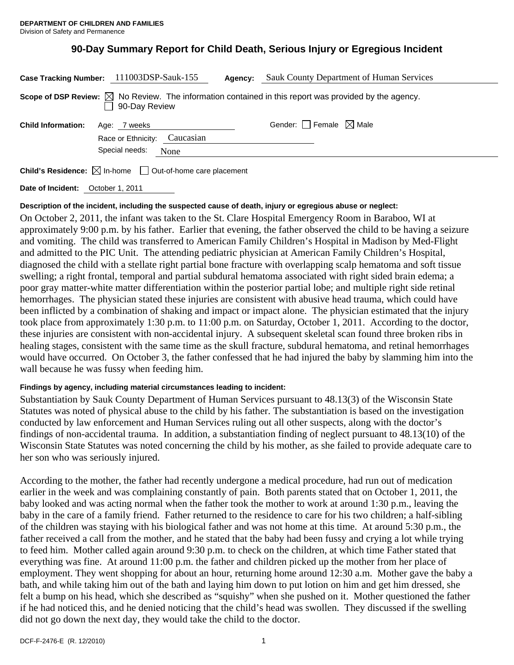# **90-Day Summary Report for Child Death, Serious Injury or Egregious Incident**

|                                                                                                                                   | Case Tracking Number: 111003DSP-Sauk-155                               | Agency: | Sauk County Department of Human Services |
|-----------------------------------------------------------------------------------------------------------------------------------|------------------------------------------------------------------------|---------|------------------------------------------|
| Scope of DSP Review: $\boxtimes$ No Review. The information contained in this report was provided by the agency.<br>90-Day Review |                                                                        |         |                                          |
| <b>Child Information:</b>                                                                                                         | Age: 7 weeks<br>Race or Ethnicity: Caucasian<br>Special needs:<br>None |         | Gender: $\Box$ Female $\boxtimes$ Male   |
| <b>Child's Residence:</b> $\boxtimes$ In-home $\Box$ Out-of-home care placement                                                   |                                                                        |         |                                          |

**Date of Incident:** October 1, 2011

## **Description of the incident, including the suspected cause of death, injury or egregious abuse or neglect:**

On October 2, 2011, the infant was taken to the St. Clare Hospital Emergency Room in Baraboo, WI at approximately 9:00 p.m. by his father. Earlier that evening, the father observed the child to be having a seizure and vomiting. The child was transferred to American Family Children's Hospital in Madison by Med-Flight and admitted to the PIC Unit. The attending pediatric physician at American Family Children's Hospital, diagnosed the child with a stellate right partial bone fracture with overlapping scalp hematoma and soft tissue swelling; a right frontal, temporal and partial subdural hematoma associated with right sided brain edema; a poor gray matter-white matter differentiation within the posterior partial lobe; and multiple right side retinal hemorrhages. The physician stated these injuries are consistent with abusive head trauma, which could have been inflicted by a combination of shaking and impact or impact alone. The physician estimated that the injury took place from approximately 1:30 p.m. to 11:00 p.m. on Saturday, October 1, 2011. According to the doctor, these injuries are consistent with non-accidental injury. A subsequent skeletal scan found three broken ribs in healing stages, consistent with the same time as the skull fracture, subdural hematoma, and retinal hemorrhages would have occurred. On October 3, the father confessed that he had injured the baby by slamming him into the wall because he was fussy when feeding him.

## **Findings by agency, including material circumstances leading to incident:**

Substantiation by Sauk County Department of Human Services pursuant to 48.13(3) of the Wisconsin State Statutes was noted of physical abuse to the child by his father. The substantiation is based on the investigation conducted by law enforcement and Human Services ruling out all other suspects, along with the doctor's findings of non-accidental trauma. In addition, a substantiation finding of neglect pursuant to 48.13(10) of the Wisconsin State Statutes was noted concerning the child by his mother, as she failed to provide adequate care to her son who was seriously injured.

According to the mother, the father had recently undergone a medical procedure, had run out of medication earlier in the week and was complaining constantly of pain. Both parents stated that on October 1, 2011, the baby looked and was acting normal when the father took the mother to work at around 1:30 p.m., leaving the baby in the care of a family friend. Father returned to the residence to care for his two children; a half-sibling of the children was staying with his biological father and was not home at this time. At around 5:30 p.m., the father received a call from the mother, and he stated that the baby had been fussy and crying a lot while trying to feed him. Mother called again around 9:30 p.m. to check on the children, at which time Father stated that everything was fine. At around 11:00 p.m. the father and children picked up the mother from her place of employment. They went shopping for about an hour, returning home around 12:30 a.m. Mother gave the baby a bath, and while taking him out of the bath and laying him down to put lotion on him and get him dressed, she felt a bump on his head, which she described as "squishy" when she pushed on it. Mother questioned the father if he had noticed this, and he denied noticing that the child's head was swollen. They discussed if the swelling did not go down the next day, they would take the child to the doctor.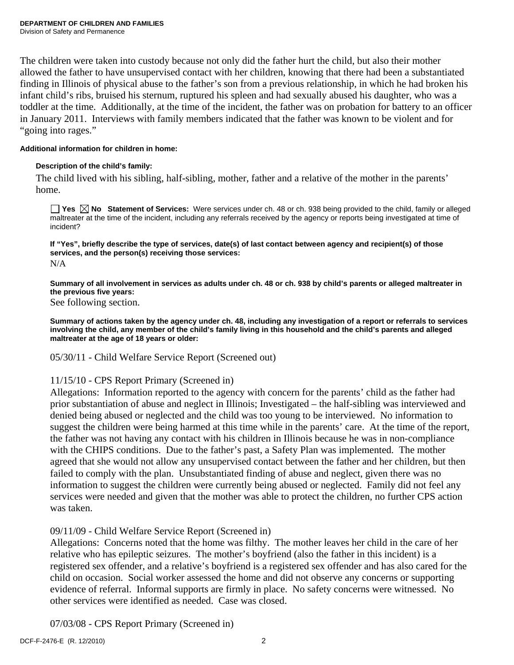The children were taken into custody because not only did the father hurt the child, but also their mother allowed the father to have unsupervised contact with her children, knowing that there had been a substantiated finding in Illinois of physical abuse to the father's son from a previous relationship, in which he had broken his infant child's ribs, bruised his sternum, ruptured his spleen and had sexually abused his daughter, who was a toddler at the time. Additionally, at the time of the incident, the father was on probation for battery to an officer in January 2011. Interviews with family members indicated that the father was known to be violent and for "going into rages."

## **Additional information for children in home:**

## **Description of the child's family:**

The child lived with his sibling, half-sibling, mother, father and a relative of the mother in the parents' home.

**Yes No Statement of Services:** Were services under ch. 48 or ch. 938 being provided to the child, family or alleged maltreater at the time of the incident, including any referrals received by the agency or reports being investigated at time of incident?

**If "Yes", briefly describe the type of services, date(s) of last contact between agency and recipient(s) of those services, and the person(s) receiving those services:**  N/A

**Summary of all involvement in services as adults under ch. 48 or ch. 938 by child's parents or alleged maltreater in the previous five years:** 

See following section.

**Summary of actions taken by the agency under ch. 48, including any investigation of a report or referrals to services involving the child, any member of the child's family living in this household and the child's parents and alleged maltreater at the age of 18 years or older:** 

05/30/11 - Child Welfare Service Report (Screened out)

## 11/15/10 - CPS Report Primary (Screened in)

Allegations: Information reported to the agency with concern for the parents' child as the father had prior substantiation of abuse and neglect in Illinois; Investigated – the half-sibling was interviewed and denied being abused or neglected and the child was too young to be interviewed. No information to suggest the children were being harmed at this time while in the parents' care. At the time of the report, the father was not having any contact with his children in Illinois because he was in non-compliance with the CHIPS conditions. Due to the father's past, a Safety Plan was implemented. The mother agreed that she would not allow any unsupervised contact between the father and her children, but then failed to comply with the plan. Unsubstantiated finding of abuse and neglect, given there was no information to suggest the children were currently being abused or neglected. Family did not feel any services were needed and given that the mother was able to protect the children, no further CPS action was taken.

## 09/11/09 - Child Welfare Service Report (Screened in)

Allegations: Concerns noted that the home was filthy. The mother leaves her child in the care of her relative who has epileptic seizures. The mother's boyfriend (also the father in this incident) is a registered sex offender, and a relative's boyfriend is a registered sex offender and has also cared for the child on occasion. Social worker assessed the home and did not observe any concerns or supporting evidence of referral. Informal supports are firmly in place. No safety concerns were witnessed. No other services were identified as needed. Case was closed.

07/03/08 - CPS Report Primary (Screened in)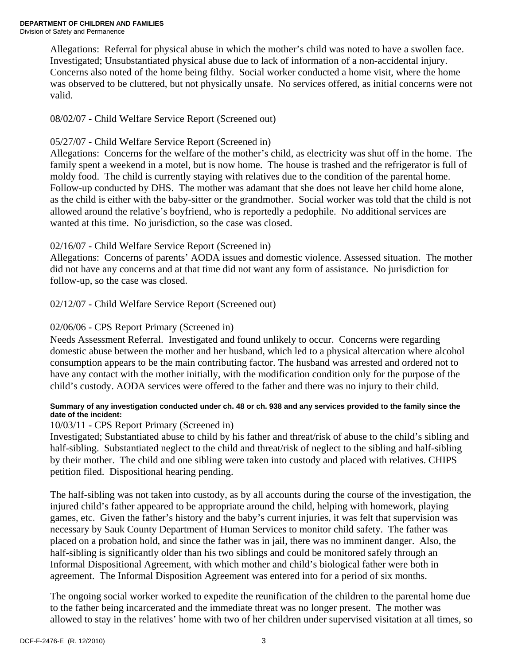Allegations: Referral for physical abuse in which the mother's child was noted to have a swollen face. Investigated; Unsubstantiated physical abuse due to lack of information of a non-accidental injury. Concerns also noted of the home being filthy. Social worker conducted a home visit, where the home was observed to be cluttered, but not physically unsafe. No services offered, as initial concerns were not valid.

08/02/07 - Child Welfare Service Report (Screened out)

# 05/27/07 - Child Welfare Service Report (Screened in)

Allegations: Concerns for the welfare of the mother's child, as electricity was shut off in the home. The family spent a weekend in a motel, but is now home. The house is trashed and the refrigerator is full of moldy food. The child is currently staying with relatives due to the condition of the parental home. Follow-up conducted by DHS. The mother was adamant that she does not leave her child home alone, as the child is either with the baby-sitter or the grandmother. Social worker was told that the child is not allowed around the relative's boyfriend, who is reportedly a pedophile. No additional services are wanted at this time. No jurisdiction, so the case was closed.

# 02/16/07 - Child Welfare Service Report (Screened in)

Allegations: Concerns of parents' AODA issues and domestic violence. Assessed situation. The mother did not have any concerns and at that time did not want any form of assistance. No jurisdiction for follow-up, so the case was closed.

02/12/07 - Child Welfare Service Report (Screened out)

## 02/06/06 - CPS Report Primary (Screened in)

Needs Assessment Referral. Investigated and found unlikely to occur. Concerns were regarding domestic abuse between the mother and her husband, which led to a physical altercation where alcohol consumption appears to be the main contributing factor. The husband was arrested and ordered not to have any contact with the mother initially, with the modification condition only for the purpose of the child's custody. AODA services were offered to the father and there was no injury to their child.

## **Summary of any investigation conducted under ch. 48 or ch. 938 and any services provided to the family since the date of the incident:**

## 10/03/11 - CPS Report Primary (Screened in)

Investigated; Substantiated abuse to child by his father and threat/risk of abuse to the child's sibling and half-sibling. Substantiated neglect to the child and threat/risk of neglect to the sibling and half-sibling by their mother. The child and one sibling were taken into custody and placed with relatives. CHIPS petition filed. Dispositional hearing pending.

The half-sibling was not taken into custody, as by all accounts during the course of the investigation, the injured child's father appeared to be appropriate around the child, helping with homework, playing games, etc. Given the father's history and the baby's current injuries, it was felt that supervision was necessary by Sauk County Department of Human Services to monitor child safety. The father was placed on a probation hold, and since the father was in jail, there was no imminent danger. Also, the half-sibling is significantly older than his two siblings and could be monitored safely through an Informal Dispositional Agreement, with which mother and child's biological father were both in agreement. The Informal Disposition Agreement was entered into for a period of six months.

The ongoing social worker worked to expedite the reunification of the children to the parental home due to the father being incarcerated and the immediate threat was no longer present. The mother was allowed to stay in the relatives' home with two of her children under supervised visitation at all times, so